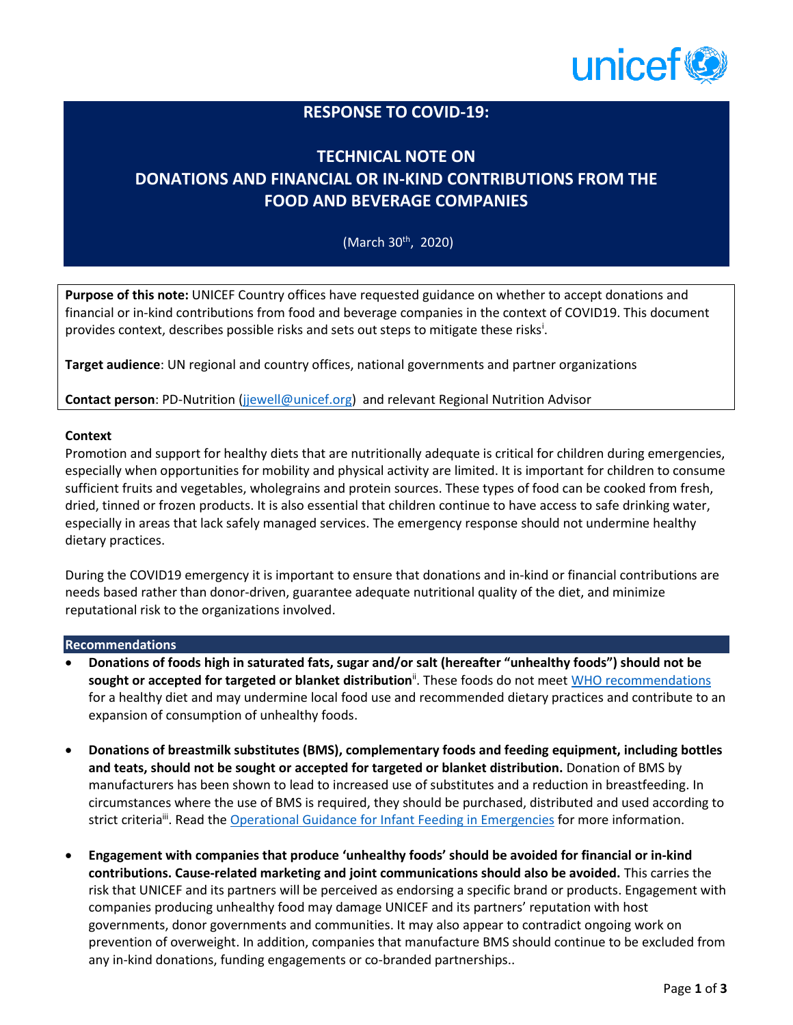

## **RESPONSE TO COVID-19:**

# **TECHNICAL NOTE ON DONATIONS AND FINANCIAL OR IN-KIND CONTRIBUTIONS FROM THE FOOD AND BEVERAGE COMPANIES**

(March 30<sup>th</sup>, 2020)

**Purpose of this note:** UNICEF Country offices have requested guidance on whether to accept donations and financial or in-kind contributions from food and beverage companies in the context of COVID19. This document provides context, describes possible risks and sets out steps to mitigate these risks<sup>i</sup>.

**Target audience**: UN regional and country offices, national governments and partner organizations

**Contact person**: PD-Nutrition [\(jjewell@unicef.org\)](mailto:jjewell@unicef.org) and relevant Regional Nutrition Advisor

#### **Context**

Promotion and support for healthy diets that are nutritionally adequate is critical for children during emergencies, especially when opportunities for mobility and physical activity are limited. It is important for children to consume sufficient fruits and vegetables, wholegrains and protein sources. These types of food can be cooked from fresh, dried, tinned or frozen products. It is also essential that children continue to have access to safe drinking water, especially in areas that lack safely managed services. The emergency response should not undermine healthy dietary practices.

During the COVID19 emergency it is important to ensure that donations and in-kind or financial contributions are needs based rather than donor-driven, guarantee adequate nutritional quality of the diet, and minimize reputational risk to the organizations involved.

#### **Recommendations**

- **Donations of foods high in saturated fats, sugar and/or salt (hereafter "unhealthy foods") should not be sought or accepted for targeted or blanket distribution**ii . These foods do not meet [WHO recommendations](https://www.who.int/news-room/fact-sheets/detail/healthy-diet) for a healthy diet and may undermine local food use and recommended dietary practices and contribute to an expansion of consumption of unhealthy foods.
- **Donations of breastmilk substitutes (BMS), complementary foods and feeding equipment, including bottles and teats, should not be sought or accepted for targeted or blanket distribution.** Donation of BMS by manufacturers has been shown to lead to increased use of substitutes and a reduction in breastfeeding. In circumstances where the use of BMS is required, they should be purchased, distributed and used according to strict criteria<sup>ii</sup>. Read the *Operational Guidance for Infant Feeding in Emergencies* for more information.
- **Engagement with companies that produce 'unhealthy foods' should be avoided for financial or in-kind contributions. Cause-related marketing and joint communications should also be avoided.** This carries the risk that UNICEF and its partners will be perceived as endorsing a specific brand or products. Engagement with companies producing unhealthy food may damage UNICEF and its partners' reputation with host governments, donor governments and communities. It may also appear to contradict ongoing work on prevention of overweight. In addition, companies that manufacture BMS should continue to be excluded from any in-kind donations, funding engagements or co-branded partnerships..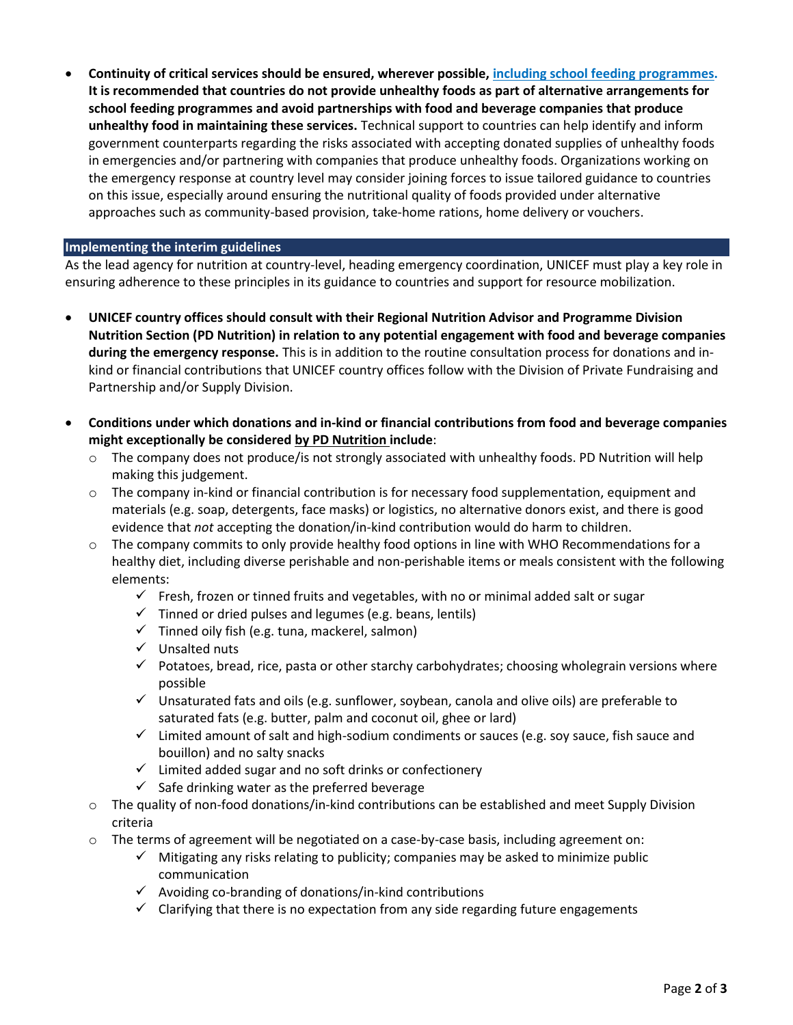• **Continuity of critical services should be ensured, wherever possible[, including school feeding programmes.](https://www.who.int/docs/default-source/coronaviruse/key-messages-and-actions-for-covid-19-prevention-and-control-in-schools-march-2020.pdf?sfvrsn=baf81d52_4) It is recommended that countries do not provide unhealthy foods as part of alternative arrangements for school feeding programmes and avoid partnerships with food and beverage companies that produce unhealthy food in maintaining these services.** Technical support to countries can help identify and inform government counterparts regarding the risks associated with accepting donated supplies of unhealthy foods in emergencies and/or partnering with companies that produce unhealthy foods. Organizations working on the emergency response at country level may consider joining forces to issue tailored guidance to countries on this issue, especially around ensuring the nutritional quality of foods provided under alternative approaches such as community-based provision, take-home rations, home delivery or vouchers.

### **Implementing the interim guidelines**

As the lead agency for nutrition at country-level, heading emergency coordination, UNICEF must play a key role in ensuring adherence to these principles in its guidance to countries and support for resource mobilization.

- **UNICEF country offices should consult with their Regional Nutrition Advisor and Programme Division Nutrition Section (PD Nutrition) in relation to any potential engagement with food and beverage companies during the emergency response.** This is in addition to the routine consultation process for donations and inkind or financial contributions that UNICEF country offices follow with the Division of Private Fundraising and Partnership and/or Supply Division.
- **Conditions under which donations and in-kind or financial contributions from food and beverage companies might exceptionally be considered by PD Nutrition include**:
	- $\circ$  The company does not produce/is not strongly associated with unhealthy foods. PD Nutrition will help making this judgement.
	- $\circ$  The company in-kind or financial contribution is for necessary food supplementation, equipment and materials (e.g. soap, detergents, face masks) or logistics, no alternative donors exist, and there is good evidence that *not* accepting the donation/in-kind contribution would do harm to children.
	- o The company commits to only provide healthy food options in line with WHO Recommendations for a healthy diet, including diverse perishable and non-perishable items or meals consistent with the following elements:
		- $\checkmark$  Fresh, frozen or tinned fruits and vegetables, with no or minimal added salt or sugar
		- $\checkmark$  Tinned or dried pulses and legumes (e.g. beans, lentils)
		- $\checkmark$  Tinned oily fish (e.g. tuna, mackerel, salmon)
		- ✓ Unsalted nuts
		- $\checkmark$  Potatoes, bread, rice, pasta or other starchy carbohydrates; choosing wholegrain versions where possible
		- $\checkmark$  Unsaturated fats and oils (e.g. sunflower, soybean, canola and olive oils) are preferable to saturated fats (e.g. butter, palm and coconut oil, ghee or lard)
		- $\checkmark$  Limited amount of salt and high-sodium condiments or sauces (e.g. soy sauce, fish sauce and bouillon) and no salty snacks
		- $\checkmark$  Limited added sugar and no soft drinks or confectionery
		- $\checkmark$  Safe drinking water as the preferred beverage
	- o The quality of non-food donations/in-kind contributions can be established and meet Supply Division criteria
	- o The terms of agreement will be negotiated on a case-by-case basis, including agreement on:
		- $\checkmark$  Mitigating any risks relating to publicity; companies may be asked to minimize public communication
		- $\checkmark$  Avoiding co-branding of donations/in-kind contributions
		- $\checkmark$  Clarifying that there is no expectation from any side regarding future engagements